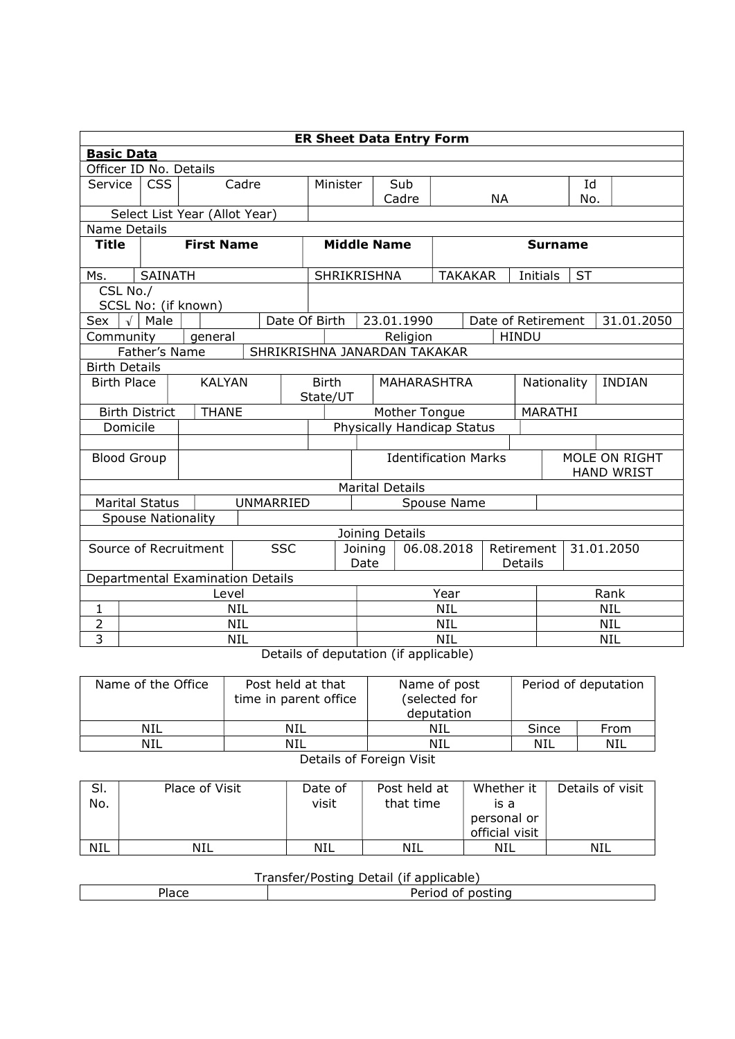|                                     | <b>ER Sheet Data Entry Form</b>     |                               |                              |                                                |                                     |            |               |                              |                                    |                    |            |           |  |            |
|-------------------------------------|-------------------------------------|-------------------------------|------------------------------|------------------------------------------------|-------------------------------------|------------|---------------|------------------------------|------------------------------------|--------------------|------------|-----------|--|------------|
| <b>Basic Data</b>                   |                                     |                               |                              |                                                |                                     |            |               |                              |                                    |                    |            |           |  |            |
|                                     | Officer ID No. Details              |                               |                              |                                                |                                     |            |               |                              |                                    |                    |            |           |  |            |
| Service                             | <b>CSS</b><br>Cadre                 |                               |                              | Minister                                       |                                     | Sub        |               |                              |                                    |                    | Id         |           |  |            |
|                                     |                                     |                               |                              |                                                |                                     |            | Cadre         | <b>NA</b>                    |                                    |                    |            | No.       |  |            |
|                                     |                                     | Select List Year (Allot Year) |                              |                                                |                                     |            |               |                              |                                    |                    |            |           |  |            |
| <b>Name Details</b>                 |                                     |                               |                              |                                                |                                     |            |               |                              |                                    |                    |            |           |  |            |
| <b>Title</b>                        |                                     | <b>First Name</b>             |                              |                                                | <b>Middle Name</b>                  |            |               | <b>Surname</b>               |                                    |                    |            |           |  |            |
| Ms.                                 | <b>SAINATH</b>                      |                               |                              |                                                | <b>SHRIKRISHNA</b>                  |            |               |                              | <b>TAKAKAR</b>                     | Initials           |            | <b>ST</b> |  |            |
| CSL No./                            |                                     |                               |                              |                                                |                                     |            |               |                              |                                    |                    |            |           |  |            |
|                                     |                                     | SCSL No: (if known)           |                              |                                                |                                     |            |               |                              |                                    |                    |            |           |  |            |
| Sex                                 | $\sqrt{\phantom{a}}$ Male           |                               | Date Of Birth                |                                                |                                     |            | 23.01.1990    |                              |                                    | Date of Retirement |            |           |  | 31.01.2050 |
| Community                           |                                     | general                       |                              |                                                |                                     |            | Religion      |                              |                                    | <b>HINDU</b>       |            |           |  |            |
|                                     | Father's Name                       |                               | SHRIKRISHNA JANARDAN TAKAKAR |                                                |                                     |            |               |                              |                                    |                    |            |           |  |            |
| <b>Birth Details</b>                |                                     |                               |                              |                                                |                                     |            |               |                              |                                    |                    |            |           |  |            |
|                                     | <b>Birth Place</b><br><b>KALYAN</b> |                               |                              | <b>Birth</b><br><b>MAHARASHTRA</b><br>State/UT |                                     |            |               | Nationality<br><b>INDIAN</b> |                                    |                    |            |           |  |            |
|                                     | <b>Birth District</b>               | <b>THANE</b>                  |                              |                                                |                                     |            | Mother Tongue |                              |                                    |                    | MARATHI    |           |  |            |
|                                     | Domicile                            |                               |                              |                                                | Physically Handicap Status          |            |               |                              |                                    |                    |            |           |  |            |
|                                     |                                     |                               |                              |                                                |                                     |            |               |                              |                                    |                    |            |           |  |            |
|                                     | <b>Blood Group</b>                  |                               |                              |                                                | <b>Identification Marks</b>         |            |               |                              | MOLE ON RIGHT<br><b>HAND WRIST</b> |                    |            |           |  |            |
|                                     |                                     |                               |                              |                                                | <b>Marital Details</b>              |            |               |                              |                                    |                    |            |           |  |            |
|                                     | <b>Marital Status</b>               |                               | <b>UNMARRIED</b>             |                                                | Spouse Name                         |            |               |                              |                                    |                    |            |           |  |            |
|                                     | <b>Spouse Nationality</b>           |                               |                              |                                                |                                     |            |               |                              |                                    |                    |            |           |  |            |
|                                     |                                     |                               |                              |                                                | Joining Details                     |            |               |                              |                                    |                    |            |           |  |            |
| <b>SSC</b><br>Source of Recruitment |                                     | Joining<br>Date               |                              |                                                | 06.08.2018<br>Retirement<br>Details |            | 31.01.2050    |                              |                                    |                    |            |           |  |            |
|                                     | Departmental Examination Details    |                               |                              |                                                |                                     |            |               |                              |                                    |                    |            |           |  |            |
| Level                               |                                     |                               |                              |                                                |                                     | Year       |               |                              |                                    | Rank               |            |           |  |            |
| $\mathbf 1$                         | <b>NIL</b>                          |                               |                              |                                                |                                     | <b>NIL</b> |               |                              |                                    |                    | <b>NIL</b> |           |  |            |
| $\overline{2}$                      | <b>NIL</b>                          |                               |                              |                                                |                                     | <b>NIL</b> |               |                              |                                    | <b>NIL</b>         |            |           |  |            |
| 3                                   |                                     |                               | <b>NIL</b>                   |                                                |                                     | NIL        |               |                              | <b>NIL</b>                         |                    |            |           |  |            |
|                                     | $\cdot$ .                           |                               |                              |                                                |                                     |            |               |                              |                                    |                    |            |           |  |            |

Details of deputation (if applicable)

| Name of the Office | Post held at that<br>time in parent office | Name of post<br>(selected for<br>deputation |       | Period of deputation |  |  |  |  |
|--------------------|--------------------------------------------|---------------------------------------------|-------|----------------------|--|--|--|--|
| NIL                | NIL                                        | NIL                                         | Since | From                 |  |  |  |  |
| NIL                | <b>NIL</b>                                 | NIL                                         | NIL   | NIL                  |  |  |  |  |
|                    |                                            |                                             |       |                      |  |  |  |  |

Details of Foreign Visit

| SI.<br>No. | Place of Visit | Date of<br>visit | Post held at<br>that time | Whether it<br>is a<br>personal or<br>official visit | Details of visit |
|------------|----------------|------------------|---------------------------|-----------------------------------------------------|------------------|
| <b>NIL</b> | NIL            | <b>NIL</b>       | NIL                       | NIL                                                 | NIL              |

## Transfer/Posting Detail (if applicable)

| $1 - 2$<br>1dCE | .<br>nostina<br>$^{\prime}$<br>enou |  |  |  |  |  |
|-----------------|-------------------------------------|--|--|--|--|--|
|                 |                                     |  |  |  |  |  |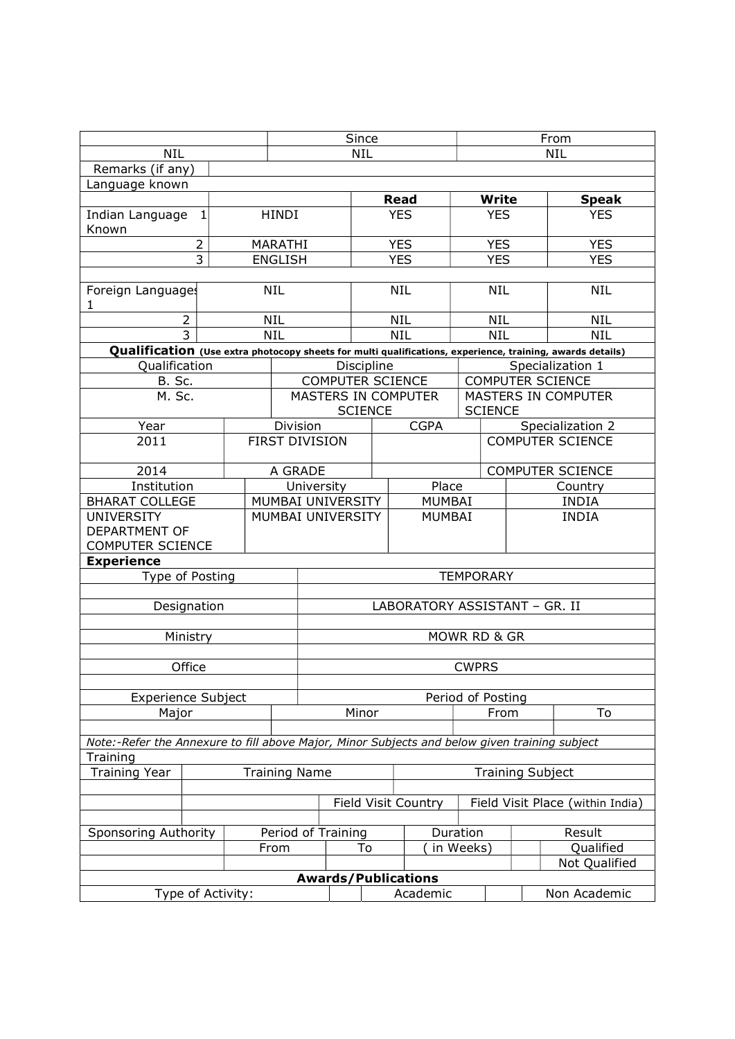|                                                                                               |                   | Since |                    |                                              | From       |                               |                           |                         |                                                                                                           |  |
|-----------------------------------------------------------------------------------------------|-------------------|-------|--------------------|----------------------------------------------|------------|-------------------------------|---------------------------|-------------------------|-----------------------------------------------------------------------------------------------------------|--|
| <b>NIL</b>                                                                                    |                   |       | <b>NIL</b>         |                                              |            | <b>NIL</b>                    |                           |                         |                                                                                                           |  |
| Remarks (if any)                                                                              |                   |       |                    |                                              |            |                               |                           |                         |                                                                                                           |  |
| Language known                                                                                |                   |       |                    |                                              |            |                               |                           |                         |                                                                                                           |  |
|                                                                                               |                   |       |                    |                                              |            | <b>Read</b>                   |                           | <b>Write</b>            | <b>Speak</b>                                                                                              |  |
| Indian Language<br>$\mathbf{1}$<br>Known                                                      |                   |       | <b>HINDI</b>       |                                              | <b>YES</b> |                               | <b>YES</b>                |                         | <b>YES</b>                                                                                                |  |
|                                                                                               | $\overline{2}$    |       | MARATHI            |                                              |            | <b>YES</b>                    |                           | <b>YES</b>              | <b>YES</b>                                                                                                |  |
| $\overline{3}$                                                                                |                   |       | <b>ENGLISH</b>     |                                              |            | <b>YES</b>                    |                           | <b>YES</b>              | <b>YES</b>                                                                                                |  |
|                                                                                               |                   |       |                    |                                              |            |                               |                           |                         |                                                                                                           |  |
| Foreign Languages<br>1                                                                        |                   |       | <b>NIL</b>         |                                              |            | <b>NIL</b>                    | <b>NIL</b>                |                         | <b>NIL</b>                                                                                                |  |
|                                                                                               | $\overline{2}$    |       | <b>NIL</b>         |                                              |            | <b>NIL</b>                    |                           | <b>NIL</b>              | <b>NIL</b>                                                                                                |  |
|                                                                                               | $\overline{3}$    |       | <b>NIL</b>         |                                              |            | <b>NIL</b>                    |                           | <b>NIL</b>              | <b>NIL</b>                                                                                                |  |
|                                                                                               |                   |       |                    |                                              |            |                               |                           |                         | Qualification (Use extra photocopy sheets for multi qualifications, experience, training, awards details) |  |
| Qualification                                                                                 |                   |       |                    | Discipline                                   |            |                               |                           |                         | Specialization 1                                                                                          |  |
| <b>B.</b> Sc.                                                                                 |                   |       |                    | <b>COMPUTER SCIENCE</b>                      |            |                               |                           | <b>COMPUTER SCIENCE</b> |                                                                                                           |  |
| M. Sc.                                                                                        |                   |       |                    | <b>MASTERS IN COMPUTER</b><br><b>SCIENCE</b> |            |                               | <b>SCIENCE</b>            |                         | MASTERS IN COMPUTER                                                                                       |  |
| Year                                                                                          |                   |       | Division           |                                              |            | <b>CGPA</b>                   |                           |                         | Specialization 2                                                                                          |  |
| 2011                                                                                          |                   |       |                    | <b>FIRST DIVISION</b>                        |            |                               |                           |                         | <b>COMPUTER SCIENCE</b>                                                                                   |  |
| 2014                                                                                          |                   |       | A GRADE            |                                              |            |                               |                           |                         | <b>COMPUTER SCIENCE</b>                                                                                   |  |
| Institution                                                                                   |                   |       | University         |                                              |            | Place                         |                           |                         | Country                                                                                                   |  |
| <b>BHARAT COLLEGE</b>                                                                         |                   |       | MUMBAI UNIVERSITY  |                                              |            | <b>MUMBAI</b>                 |                           |                         | <b>INDIA</b>                                                                                              |  |
| <b>UNIVERSITY</b><br><b>DEPARTMENT OF</b><br><b>COMPUTER SCIENCE</b>                          |                   |       | MUMBAI UNIVERSITY  |                                              |            | <b>MUMBAI</b>                 |                           |                         | <b>INDIA</b>                                                                                              |  |
| <b>Experience</b>                                                                             |                   |       |                    |                                              |            |                               |                           |                         |                                                                                                           |  |
| Type of Posting                                                                               |                   |       |                    |                                              |            |                               | <b>TEMPORARY</b>          |                         |                                                                                                           |  |
|                                                                                               |                   |       |                    |                                              |            |                               |                           |                         |                                                                                                           |  |
|                                                                                               | Designation       |       |                    |                                              |            | LABORATORY ASSISTANT - GR. II |                           |                         |                                                                                                           |  |
|                                                                                               |                   |       |                    |                                              |            |                               |                           |                         |                                                                                                           |  |
|                                                                                               | Ministry          |       |                    |                                              |            |                               | MOWR RD & GR              |                         |                                                                                                           |  |
|                                                                                               | Office            |       |                    | <b>CWPRS</b>                                 |            |                               |                           |                         |                                                                                                           |  |
| <b>Experience Subject</b>                                                                     |                   |       |                    |                                              |            |                               |                           |                         |                                                                                                           |  |
| Major                                                                                         |                   |       |                    | Minor                                        |            |                               | Period of Posting<br>From |                         | To                                                                                                        |  |
|                                                                                               |                   |       |                    |                                              |            |                               |                           |                         |                                                                                                           |  |
| Note:-Refer the Annexure to fill above Major, Minor Subjects and below given training subject |                   |       |                    |                                              |            |                               |                           |                         |                                                                                                           |  |
| Training                                                                                      |                   |       |                    |                                              |            |                               |                           |                         |                                                                                                           |  |
| <b>Training Year</b><br><b>Training Name</b>                                                  |                   |       |                    |                                              |            |                               | <b>Training Subject</b>   |                         |                                                                                                           |  |
|                                                                                               |                   |       |                    |                                              |            |                               |                           |                         |                                                                                                           |  |
|                                                                                               |                   |       |                    | <b>Field Visit Country</b>                   |            |                               |                           |                         | Field Visit Place (within India)                                                                          |  |
| <b>Sponsoring Authority</b>                                                                   |                   |       | Period of Training |                                              |            |                               | Duration                  |                         | Result                                                                                                    |  |
|                                                                                               |                   |       | From               |                                              | To         | in Weeks)                     |                           |                         | Qualified                                                                                                 |  |
|                                                                                               |                   |       |                    |                                              |            | Not Qualified                 |                           |                         |                                                                                                           |  |
|                                                                                               |                   |       |                    | <b>Awards/Publications</b>                   |            |                               |                           |                         |                                                                                                           |  |
|                                                                                               | Type of Activity: |       |                    |                                              |            | Academic                      |                           |                         | Non Academic                                                                                              |  |